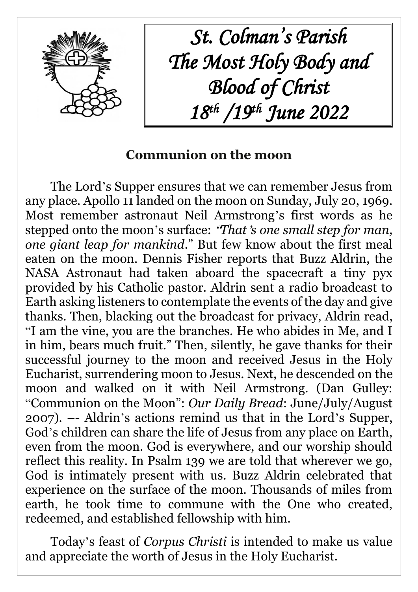

*St. Colman's Parish The Most Holy Body and Blood of Christ 18th /19th June 2022*

# **Communion on the moon**

The Lord's Supper ensures that we can remember Jesus from any place. Apollo 11 landed on the moon on Sunday, July 20, 1969. Most remember astronaut Neil Armstrong's first words as he stepped onto the moon's surface: "*That*'*s one small step for man, one giant leap for mankind*." But few know about the first meal eaten on the moon. Dennis Fisher reports that Buzz Aldrin, the NASA Astronaut had taken aboard the spacecraft a tiny pyx provided by his Catholic pastor. Aldrin sent a radio broadcast to Earth asking listeners to contemplate the events of the day and give thanks. Then, blacking out the broadcast for privacy, Aldrin read, "I am the vine, you are the branches. He who abides in Me, and I in him, bears much fruit." Then, silently, he gave thanks for their successful journey to the moon and received Jesus in the Holy Eucharist, surrendering moon to Jesus. Next, he descended on the moon and walked on it with Neil Armstrong. (Dan Gulley: "Communion on the Moon": *Our Daily Bread*: June/July/August 2007). –- Aldrin's actions remind us that in the Lord's Supper, God's children can share the life of Jesus from any place on Earth, even from the moon. God is everywhere, and our worship should reflect this reality. In Psalm 139 we are told that wherever we go, God is intimately present with us. Buzz Aldrin celebrated that experience on the surface of the moon. Thousands of miles from earth, he took time to commune with the One who created, redeemed, and established fellowship with him.

Today's feast of *Corpus Christi* is intended to make us value and appreciate the worth of Jesus in the Holy Eucharist.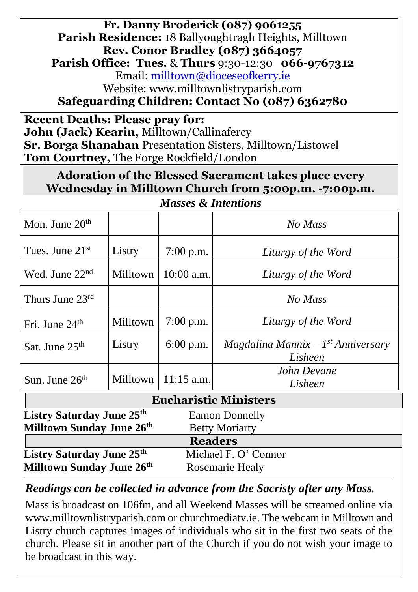**Fr. Danny Broderick (087) 9061255 Parish Residence:** 18 Ballyoughtragh Heights, Milltown **Rev. Conor Bradley (087) 3664057 Parish Office: Tues.** & **Thurs** 9:30-12:30 **066-9767312** Email: [milltown@dioceseofkerry.ie](mailto:milltown@dioceseofkerry.ie) Website: www.milltownlistryparish.com **Safeguarding Children: Contact No (087) 6362780**

**Recent Deaths: Please pray for: John (Jack) Kearin,** Milltown/Callinafercy **Sr. Borga Shanahan** Presentation Sisters, Milltown/Listowel **Tom Courtney,** The Forge Rockfield/London

**Adoration of the Blessed Sacrament takes place every Wednesday in Milltown Church from 5:00p.m. -7:00p.m.**

| Mon. June $20th$                                               |                 |              | No Mass                                         |  |
|----------------------------------------------------------------|-----------------|--------------|-------------------------------------------------|--|
| Tues. June $21st$                                              | Listry          | $7:00$ p.m.  | Liturgy of the Word                             |  |
| Wed. June $22nd$                                               | <b>Milltown</b> | $10:00$ a.m. | Liturgy of the Word                             |  |
| Thurs June $23^{\text{rd}}$                                    |                 |              | No Mass                                         |  |
| Fri. June $24th$                                               | Milltown        | $7:00$ p.m.  | Liturgy of the Word                             |  |
| Sat. June 25 <sup>th</sup>                                     | Listry          | $6:00$ p.m.  | $Magdalina Mannix - 1st Anniversary$<br>Lisheen |  |
| Sun. June $26th$                                               | Milltown        | $11:15$ a.m. | John Devane<br>Lisheen                          |  |
| <b>Eucharistic Ministers</b>                                   |                 |              |                                                 |  |
| Listry Saturday June 25 <sup>th</sup><br><b>Eamon Donnelly</b> |                 |              |                                                 |  |

| Milltown Sunday June 26 <sup>th</sup> | <b>Betty Moriarty</b> |  |
|---------------------------------------|-----------------------|--|
|                                       | <b>Readers</b>        |  |
| Listry Saturday June 25 <sup>th</sup> | Michael F. O' Connor  |  |
| Milltown Sunday June 26th             | Rosemarie Healy       |  |

*Readings can be collected in advance from the Sacristy after any Mass.*

Mass is broadcast on 106fm, and all Weekend Masses will be streamed online via [www.milltownlistryparish.com](http://www.milltownlistryparish.com/) or churchmediatv.ie. The webcam in Milltown and Listry church captures images of individuals who sit in the first two seats of the church. Please sit in another part of the Church if you do not wish your image to be broadcast in this way.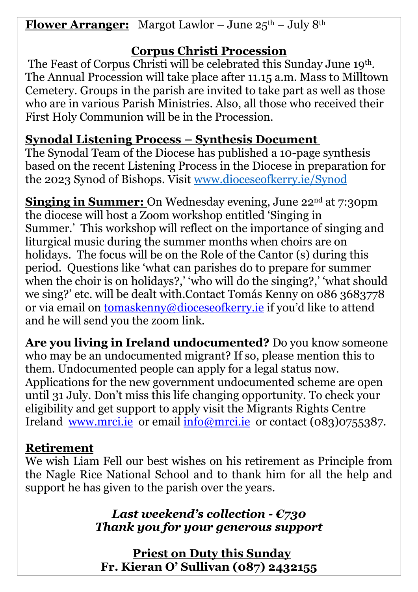**Flower Arranger:** Margot Lawlor – June  $25^{\text{th}}$  – July 8<sup>th</sup>

## **Corpus Christi Procession**

The Feast of Corpus Christi will be celebrated this Sunday June 19th. The Annual Procession will take place after 11.15 a.m. Mass to Milltown Cemetery. Groups in the parish are invited to take part as well as those who are in various Parish Ministries. Also, all those who received their First Holy Communion will be in the Procession.

## **Synodal Listening Process – Synthesis Document**

The Synodal Team of the Diocese has published a 10-page synthesis based on the recent Listening Process in the Diocese in preparation for the 2023 Synod of Bishops. Visit [www.dioceseofkerry.ie/Synod](http://www.dioceseofkerry.ie/Synod)

**Singing in Summer:** On Wednesday evening, June 22<sup>nd</sup> at 7:30pm the diocese will host a Zoom workshop entitled 'Singing in Summer.' This workshop will reflect on the importance of singing and liturgical music during the summer months when choirs are on holidays. The focus will be on the Role of the Cantor (s) during this period. Questions like 'what can parishes do to prepare for summer when the choir is on holidays?,' who will do the singing?,' what should we sing?' etc. will be dealt with.Contact Tomás Kenny on 086 3683778 or via email on <u>tomaskenny@dioceseofkerry.ie</u> if you'd like to attend and he will send you the zoom link.

**Are you living in Ireland undocumented?** Do you know someone who may be an undocumented migrant? If so, please mention this to them. Undocumented people can apply for a legal status now. Applications for the new government undocumented scheme are open until 31 July. Don't miss this life changing opportunity. To check your eligibility and get support to apply visit the Migrants Rights Centre Ireland [www.mrci.ie](http://www.mrci.ie/) or email  $info@mrci.ie$  or contact (083)0755387.

## **Retirement**

We wish Liam Fell our best wishes on his retirement as Principle from the Nagle Rice National School and to thank him for all the help and support he has given to the parish over the years.

> *Last weekend's collection - €730 Thank you for your generous support*

 **Priest on Duty this Sunday Fr. Kieran O' Sullivan (087) 2432155**